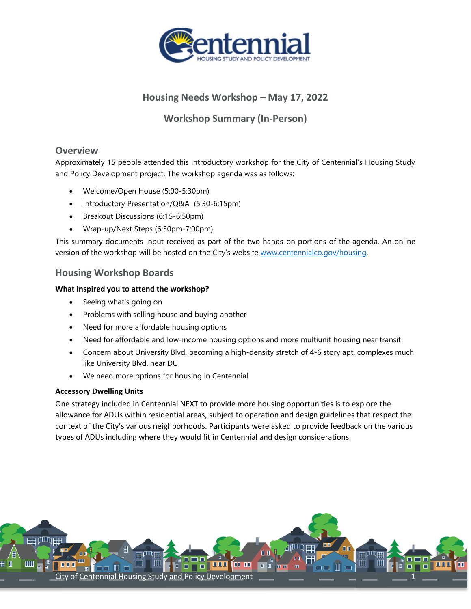

# **Housing Needs Workshop – May 17, 2022**

**Workshop Summary (In-Person)**

# **Overview**

Approximately 15 people attended this introductory workshop for the City of Centennial's Housing Study and Policy Development project. The workshop agenda was as follows:

- Welcome/Open House (5:00-5:30pm)
- Introductory Presentation/Q&A (5:30-6:15pm)
- Breakout Discussions (6:15-6:50pm)
- Wrap-up/Next Steps (6:50pm-7:00pm)

This summary documents input received as part of the two hands-on portions of the agenda. An online version of the workshop will be hosted on the City's website [www.centennialco.gov/housing.](http://www.centennialco.gov/housing) 

# **Housing Workshop Boards**

## **What inspired you to attend the workshop?**

- Seeing what's going on
- Problems with selling house and buying another
- Need for more affordable housing options
- Need for affordable and low-income housing options and more multiunit housing near transit
- Concern about University Blvd. becoming a high-density stretch of 4-6 story apt. complexes much like University Blvd. near DU
- We need more options for housing in Centennial

## **Accessory Dwelling Units**

One strategy included in Centennial NEXT to provide more housing opportunities is to explore the allowance for ADUs within residential areas, subject to operation and design guidelines that respect the context of the City's various neighborhoods. Participants were asked to provide feedback on the various types of ADUs including where they would fit in Centennial and design considerations.

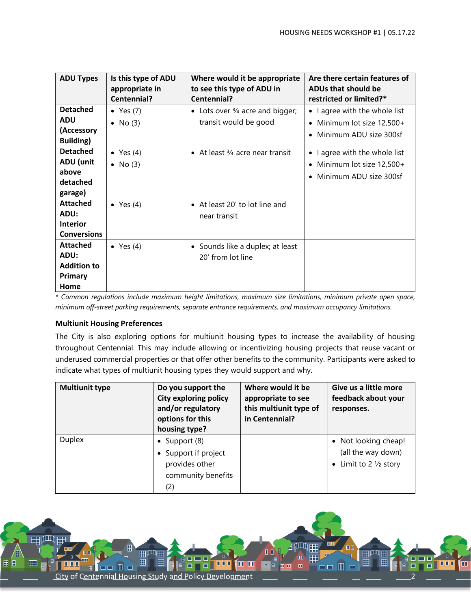| <b>ADU Types</b>   | Is this type of ADU | Where would it be appropriate              | Are there certain features of         |
|--------------------|---------------------|--------------------------------------------|---------------------------------------|
|                    | appropriate in      | to see this type of ADU in                 | ADUs that should be                   |
|                    | Centennial?         | Centennial?                                | restricted or limited?*               |
| <b>Detached</b>    | • Yes $(7)$         | • Lots over $\frac{3}{4}$ acre and bigger; | • I agree with the whole list         |
| <b>ADU</b>         | No (3)<br>$\bullet$ | transit would be good                      | Minimum lot size 12,500+<br>$\bullet$ |
| (Accessory         |                     |                                            | Minimum ADU size 300sf                |
| Building)          |                     |                                            |                                       |
| <b>Detached</b>    | • Yes $(4)$         | • At least $\frac{3}{4}$ acre near transit | • I agree with the whole list         |
| ADU (unit          | $\bullet$ No (3)    |                                            | Minimum lot size 12,500+              |
| above              |                     |                                            | Minimum ADU size 300sf                |
| detached           |                     |                                            |                                       |
| garage)            |                     |                                            |                                       |
| <b>Attached</b>    | • Yes $(4)$         | • At least 20' to lot line and             |                                       |
| ADU:               |                     | near transit                               |                                       |
| <b>Interior</b>    |                     |                                            |                                       |
| <b>Conversions</b> |                     |                                            |                                       |
| <b>Attached</b>    | $\bullet$ Yes (4)   | • Sounds like a duplex; at least           |                                       |
| ADU:               |                     | 20' from lot line                          |                                       |
| <b>Addition to</b> |                     |                                            |                                       |
| Primary            |                     |                                            |                                       |
| Home               |                     |                                            |                                       |

*\* Common regulations include maximum height limitations, maximum size limitations, minimum private open space, minimum off-street parking requirements, separate entrance requirements, and maximum occupancy limitations.* 

#### **Multiunit Housing Preferences**

The City is also exploring options for multiunit housing types to increase the availability of housing throughout Centennial. This may include allowing or incentivizing housing projects that reuse vacant or underused commercial properties or that offer other benefits to the community. Participants were asked to indicate what types of multiunit housing types they would support and why.

| <b>Multiunit type</b> | Do you support the<br><b>City exploring policy</b><br>and/or regulatory<br>options for this<br>housing type? | Where would it be<br>appropriate to see<br>this multiunit type of<br>in Centennial? | Give us a little more<br>feedback about your<br>responses.                     |
|-----------------------|--------------------------------------------------------------------------------------------------------------|-------------------------------------------------------------------------------------|--------------------------------------------------------------------------------|
| <b>Duplex</b>         | Support (8)<br>$\bullet$<br>Support if project<br>provides other<br>community benefits<br>(2)                |                                                                                     | • Not looking cheap!<br>(all the way down)<br>• Limit to 2 $\frac{1}{2}$ story |

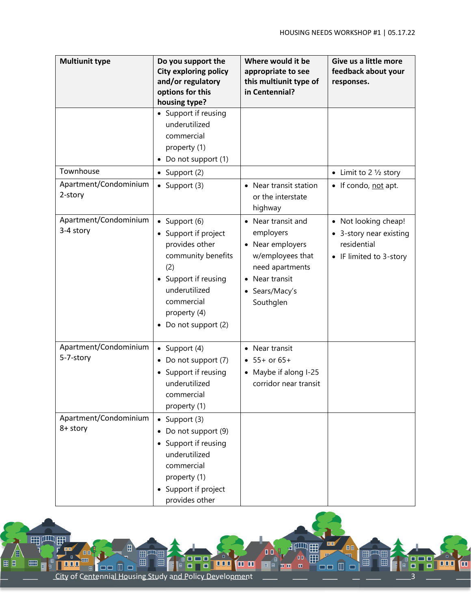| <b>Multiunit type</b>                         | Do you support the<br><b>City exploring policy</b><br>and/or regulatory<br>options for this<br>housing type?                                                                        | Where would it be<br>appropriate to see<br>this multiunit type of<br>in Centennial?                                                         | Give us a little more<br>feedback about your<br>responses.                              |
|-----------------------------------------------|-------------------------------------------------------------------------------------------------------------------------------------------------------------------------------------|---------------------------------------------------------------------------------------------------------------------------------------------|-----------------------------------------------------------------------------------------|
| Townhouse<br>Apartment/Condominium<br>2-story | • Support if reusing<br>underutilized<br>commercial<br>property (1)<br>Do not support (1)<br>• Support $(2)$<br>• Support $(3)$                                                     | • Near transit station<br>or the interstate<br>highway                                                                                      | • Limit to 2 $\frac{1}{2}$ story<br>• If condo, not apt.                                |
| Apartment/Condominium<br>3-4 story            | • Support $(6)$<br>Support if project<br>provides other<br>community benefits<br>(2)<br>• Support if reusing<br>underutilized<br>commercial<br>property (4)<br>• Do not support (2) | • Near transit and<br>employers<br>• Near employers<br>w/employees that<br>need apartments<br>• Near transit<br>• Sears/Macy's<br>Southglen | • Not looking cheap!<br>3-story near existing<br>residential<br>• IF limited to 3-story |
| Apartment/Condominium<br>5-7-story            | • Support $(4)$<br>• Do not support (7)<br>Support if reusing<br>underutilized<br>commercial<br>property (1)                                                                        | • Near transit<br>$• 55+ or 65+$<br>• Maybe if along I-25<br>corridor near transit                                                          |                                                                                         |
| Apartment/Condominium<br>8+ story             | $\bullet$ Support (3)<br>Do not support (9)<br>Support if reusing<br>$\bullet$<br>underutilized<br>commercial<br>property (1)<br>• Support if project<br>provides other             |                                                                                                                                             |                                                                                         |

 $H^{\text{un}}$ 

 $\mathbf{0}$ Ħ

 $\blacksquare$ 

**B** B **D O** O

**BB** 

 $\Box$ 

■■■■

**REPORTS** 

 $\sqrt{2}$ 

City of Centennial Housing Study and Policy Development 3

⊞

用月明

田田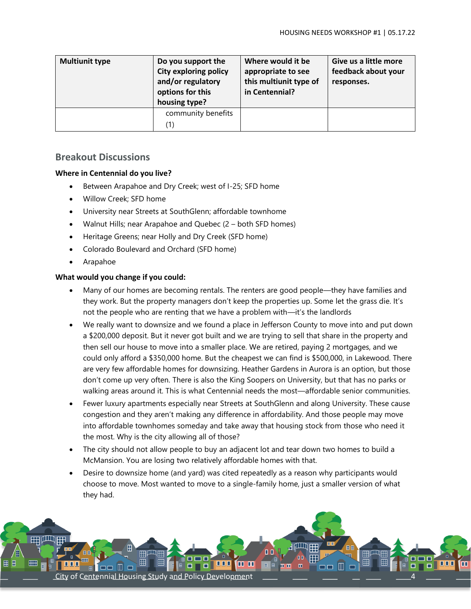| <b>Multiunit type</b> | Do you support the<br><b>City exploring policy</b><br>and/or regulatory<br>options for this<br>housing type? | Where would it be<br>appropriate to see<br>this multiunit type of<br>in Centennial? | Give us a little more<br>feedback about your<br>responses. |
|-----------------------|--------------------------------------------------------------------------------------------------------------|-------------------------------------------------------------------------------------|------------------------------------------------------------|
|                       | community benefits<br>(1)                                                                                    |                                                                                     |                                                            |

## **Breakout Discussions**

#### **Where in Centennial do you live?**

- Between Arapahoe and Dry Creek; west of I-25; SFD home
- Willow Creek; SFD home
- University near Streets at SouthGlenn; affordable townhome
- Walnut Hills; near Arapahoe and Quebec (2 both SFD homes)
- Heritage Greens; near Holly and Dry Creek (SFD home)
- Colorado Boulevard and Orchard (SFD home)
- Arapahoe

#### **What would you change if you could:**

- Many of our homes are becoming rentals. The renters are good people—they have families and they work. But the property managers don't keep the properties up. Some let the grass die. It's not the people who are renting that we have a problem with—it's the landlords
- We really want to downsize and we found a place in Jefferson County to move into and put down a \$200,000 deposit. But it never got built and we are trying to sell that share in the property and then sell our house to move into a smaller place. We are retired, paying 2 mortgages, and we could only afford a \$350,000 home. But the cheapest we can find is \$500,000, in Lakewood. There are very few affordable homes for downsizing. Heather Gardens in Aurora is an option, but those don't come up very often. There is also the King Soopers on University, but that has no parks or walking areas around it. This is what Centennial needs the most—affordable senior communities.
- Fewer luxury apartments especially near Streets at SouthGlenn and along University. These cause congestion and they aren't making any difference in affordability. And those people may move into affordable townhomes someday and take away that housing stock from those who need it the most. Why is the city allowing all of those?
- The city should not allow people to buy an adjacent lot and tear down two homes to build a McMansion. You are losing two relatively affordable homes with that.
- Desire to downsize home (and yard) was cited repeatedly as a reason why participants would choose to move. Most wanted to move to a single-family home, just a smaller version of what they had.

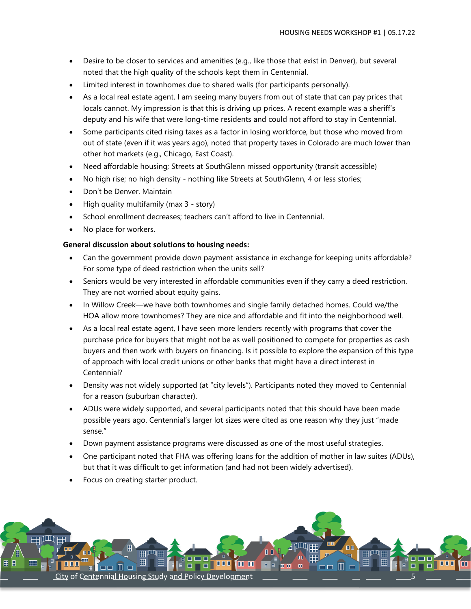- Desire to be closer to services and amenities (e.g., like those that exist in Denver), but several noted that the high quality of the schools kept them in Centennial.
- Limited interest in townhomes due to shared walls (for participants personally).
- As a local real estate agent, I am seeing many buyers from out of state that can pay prices that locals cannot. My impression is that this is driving up prices. A recent example was a sheriff's deputy and his wife that were long-time residents and could not afford to stay in Centennial.
- Some participants cited rising taxes as a factor in losing workforce, but those who moved from out of state (even if it was years ago), noted that property taxes in Colorado are much lower than other hot markets (e.g., Chicago, East Coast).
- Need affordable housing; Streets at SouthGlenn missed opportunity (transit accessible)
- No high rise; no high density nothing like Streets at SouthGlenn, 4 or less stories;
- Don't be Denver. Maintain
- High quality multifamily (max 3 story)
- School enrollment decreases; teachers can't afford to live in Centennial.
- No place for workers.

#### **General discussion about solutions to housing needs:**

- Can the government provide down payment assistance in exchange for keeping units affordable? For some type of deed restriction when the units sell?
- Seniors would be very interested in affordable communities even if they carry a deed restriction. They are not worried about equity gains.
- In Willow Creek—we have both townhomes and single family detached homes. Could we/the HOA allow more townhomes? They are nice and affordable and fit into the neighborhood well.
- As a local real estate agent, I have seen more lenders recently with programs that cover the purchase price for buyers that might not be as well positioned to compete for properties as cash buyers and then work with buyers on financing. Is it possible to explore the expansion of this type of approach with local credit unions or other banks that might have a direct interest in Centennial?
- Density was not widely supported (at "city levels"). Participants noted they moved to Centennial for a reason (suburban character).
- ADUs were widely supported, and several participants noted that this should have been made possible years ago. Centennial's larger lot sizes were cited as one reason why they just "made sense."
- Down payment assistance programs were discussed as one of the most useful strategies.
- One participant noted that FHA was offering loans for the addition of mother in law suites (ADUs), but that it was difficult to get information (and had not been widely advertised).
- Focus on creating starter product.